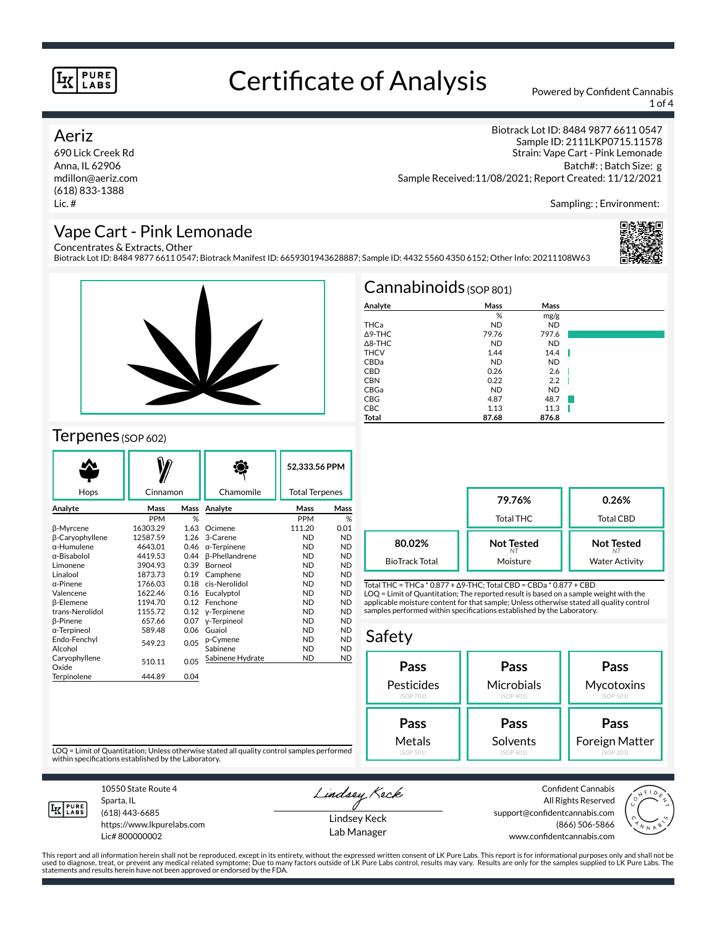# Certificate of Analysis Powered by Confident Cannabis

1 of 4

### Aeriz

690 Lick Creek Rd Anna, IL 62906 mdillon@aeriz.com (618) 833-1388 Lic. #

Biotrack Lot ID: 8484 9877 6611 0547 Sample ID: 2111LKP0715.11578 Strain: Vape Cart - Pink Lemonade Batch#: ; Batch Size: g Sample Received:11/08/2021; Report Created: 11/12/2021

Sampling: ; Environment:

## Vape Cart - Pink Lemonade

Concentrates & Extracts, Other

Biotrack Lot ID: 8484 9877 6611 0547; Biotrack Manifest ID: 6659301943628887; Sample ID: 4432 5560 4350 6152; Other Info: 20211108W63





### Terpenes (SOP 602)

| Hops                   | Cinnamon   |      | Chamomile             | 52,333.56 PPM<br><b>Total Terpenes</b> |           |
|------------------------|------------|------|-----------------------|----------------------------------------|-----------|
| Analyte                | Mass       | Mass | Analyte               | Mass                                   | Mass      |
|                        | <b>PPM</b> | %    |                       | <b>PPM</b>                             | %         |
| <b>B-Myrcene</b>       | 16303.29   | 1.63 | Ocimene               | 111.20                                 | 0.01      |
| <b>B-Caryophyllene</b> | 12587.59   | 1.26 | 3-Carene              | <b>ND</b>                              | <b>ND</b> |
| $\alpha$ -Humulene     | 4643.01    | 0.46 | $\alpha$ -Terpinene   | <b>ND</b>                              | <b>ND</b> |
| α-Bisabolol            | 4419.53    | 0.44 | <b>ß-Phellandrene</b> | <b>ND</b>                              | <b>ND</b> |
| Limonene               | 3904.93    | 0.39 | Borneol               | <b>ND</b>                              | <b>ND</b> |
| Linalool               | 1873.73    | 0.19 | Camphene              | <b>ND</b>                              | <b>ND</b> |
| α-Pinene               | 1766.03    | 0.18 | cis-Nerolidol         | <b>ND</b>                              | <b>ND</b> |
| Valencene              | 1622.46    | 0.16 | Eucalyptol            | <b>ND</b>                              | <b>ND</b> |
| <b>B-Elemene</b>       | 1194.70    | 0.12 | Fenchone              | <b>ND</b>                              | <b>ND</b> |
| trans-Nerolidol        | 1155.72    | 0.12 | y-Terpinene           | <b>ND</b>                              | <b>ND</b> |
| <b>B-Pinene</b>        | 657.66     | 0.07 | y-Terpineol           | <b>ND</b>                              | <b>ND</b> |
| α-Terpineol            | 589.48     | 0.06 | Guaiol                | <b>ND</b>                              | <b>ND</b> |
| Endo-Fenchvl           | 549.23     | 0.05 | p-Cymene              | <b>ND</b>                              | <b>ND</b> |
| Alcohol                |            |      | Sabinene              | <b>ND</b>                              | <b>ND</b> |
| Caryophyllene<br>Oxide | 510.11     | 0.05 | Sabinene Hydrate      | <b>ND</b>                              | <b>ND</b> |
| Terpinolene            | 444.89     | 0.04 |                       |                                        |           |

| $Cannabinoids$ (SOP 801) |           |           |   |  |  |
|--------------------------|-----------|-----------|---|--|--|
| Analyte                  | Mass      | Mass      |   |  |  |
|                          | %         | mg/g      |   |  |  |
| THCa                     | <b>ND</b> | <b>ND</b> |   |  |  |
| $\triangle$ 9-THC        | 79.76     | 797.6     |   |  |  |
| $\triangle$ 8-THC        | <b>ND</b> | <b>ND</b> |   |  |  |
| <b>THCV</b>              | 1.44      | 14.4      | W |  |  |
| CBDa                     | <b>ND</b> | <b>ND</b> |   |  |  |
| <b>CBD</b>               | 0.26      | 2.6       |   |  |  |
| <b>CBN</b>               | 0.22      | 2.2       |   |  |  |
| CBGa                     | <b>ND</b> | <b>ND</b> |   |  |  |
| <b>CBG</b>               | 4.87      | 48.7      |   |  |  |
| <b>CBC</b>               | 1.13      | 11.3      |   |  |  |
| Total                    | 87.68     | 876.8     |   |  |  |

|                       | 79.76%<br><b>Total THC</b> | 0.26%<br><b>Total CBD</b> |
|-----------------------|----------------------------|---------------------------|
| 80.02%                | <b>Not Tested</b>          | <b>Not Tested</b>         |
| <b>BioTrack Total</b> | Moisture                   | <b>Water Activity</b>     |

Total THC = THCa \* 0.877 + ∆9-THC; Total CBD = CBDa \* 0.877 + CBD LOQ = Limit of Quantitation; The reported result is based on a sample weight with the applicable moisture content for that sample; Unless otherwise stated all quality control samples performed within specifications established by the Laboratory.

### Safety

| Pass       | Pass       | Pass           |  |  |
|------------|------------|----------------|--|--|
| Pesticides | Microbials | Mycotoxins     |  |  |
| (SOP 701)  | (SOP 401)  | (SOP 501)      |  |  |
| Pass       | Pass       | Pass           |  |  |
| Metals     | Solvents   | Foreign Matter |  |  |
| (SOP 501)  | (SOP 601)  | (SOP 203)      |  |  |

LOQ = Limit of Quantitation; Unless otherwise stated all quality control samples performed within specifications established by the Laboratory.



Sparta, IL (618) 443-6685

10550 State Route 4

https://www.lkpurelabs.com Lic# 800000002

Lindsey Keck

Lindsey Keck Lab Manager

Confident Cannabis All Rights Reserved support@confidentcannabis.com (866) 506-5866 www.confidentcannabis.com



This report and all information herein shall not be reproduced, except in its entirety, without the expressed written consent of LK Pure Labs. This report is for informational purposes only and shall not be<br>used to diagnos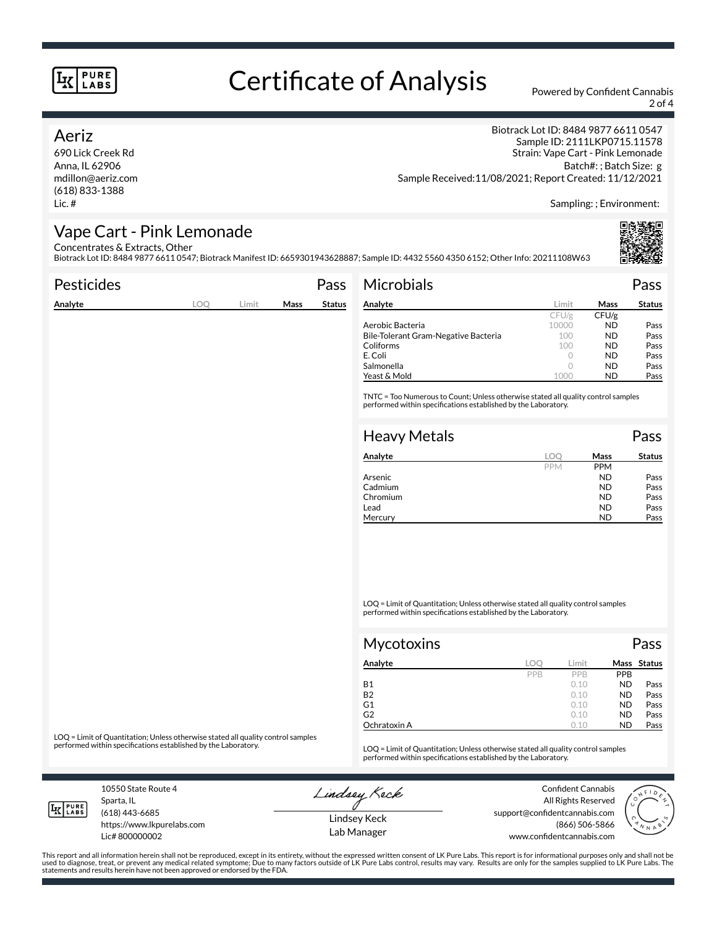# Certificate of Analysis Powered by Confident Cannabis

2 of 4

### Aeriz

690 Lick Creek Rd Anna, IL 62906 mdillon@aeriz.com (618) 833-1388 Lic. #

Biotrack Lot ID: 8484 9877 6611 0547 Sample ID: 2111LKP0715.11578 Strain: Vape Cart - Pink Lemonade Batch#: ; Batch Size: g Sample Received:11/08/2021; Report Created: 11/12/2021

Sampling: ; Environment:

### Vape Cart - Pink Lemonade

Concentrates & Extracts, Other

Biotrack Lot ID: 8484 9877 6611 0547; Biotrack Manifest ID: 6659301943628887; Sample ID: 4432 5560 4350 6152; Other Info: 20211108W63

| Pesticides |            |       |      | Pass          | Microbials                           |            |                        | Pass          |
|------------|------------|-------|------|---------------|--------------------------------------|------------|------------------------|---------------|
| Analyte    | <b>LOQ</b> | Limit | Mass | <b>Status</b> | Analyte                              | Limit      | Mass                   | <b>Status</b> |
|            |            |       |      |               |                                      | CFU/g      | CFU/g                  |               |
|            |            |       |      |               | Aerobic Bacteria                     | 10000      | <b>ND</b>              | Pass          |
|            |            |       |      |               | Bile-Tolerant Gram-Negative Bacteria | 100        | <b>ND</b>              | Pass          |
|            |            |       |      |               | Coliforms                            | 100        | <b>ND</b>              | Pass          |
|            |            |       |      |               | E. Coli                              | $\circ$    | <b>ND</b>              | Pass          |
|            |            |       |      |               | Salmonella                           | $\circ$    | <b>ND</b>              | Pass          |
|            |            |       |      |               | Yeast & Mold                         | 1000       | <b>ND</b>              | Pass          |
|            |            |       |      |               | <b>Heavy Metals</b>                  |            |                        | Pass          |
|            |            |       |      |               | Analyte                              | <b>LOO</b> | Mass                   | <b>Status</b> |
|            |            |       |      |               |                                      | <b>PPM</b> | <b>PPM</b>             |               |
|            |            |       |      |               | Arsenic                              |            | <b>ND</b>              | Pass          |
|            |            |       |      |               | Cadmium<br>Chromium                  |            | <b>ND</b><br><b>ND</b> | Pass          |
|            |            |       |      |               | Lead                                 |            | <b>ND</b>              | Pass<br>Pass  |
|            |            |       |      |               | Mercury                              |            | <b>ND</b>              | Pass          |
|            |            |       |      |               |                                      |            |                        |               |
|            |            |       |      |               |                                      |            |                        |               |
|            |            |       |      |               |                                      |            |                        |               |
|            |            |       |      |               |                                      |            |                        |               |
|            |            |       |      |               |                                      |            |                        |               |
|            |            |       |      |               |                                      |            |                        |               |

LOQ = Limit of Quantitation; Unless otherwise stated all quality control samples performed within specifications established by the Laboratory.

| <b>Mycotoxins</b> |     |            |            | Pass        |
|-------------------|-----|------------|------------|-------------|
| Analyte           | LOC | Limit      |            | Mass Status |
|                   | PPB | <b>PPR</b> | <b>PPB</b> |             |
| <b>B1</b>         |     | 0.10       | <b>ND</b>  | Pass        |
| <b>B2</b>         |     | 0.10       | <b>ND</b>  | Pass        |
| G1                |     | 0.10       | <b>ND</b>  | Pass        |
| G2                |     | 0.10       | <b>ND</b>  | Pass        |
| Ochratoxin A      |     | 0.10       | <b>ND</b>  | Pass        |

LOQ = Limit of Quantitation; Unless otherwise stated all quality control samples<br>performed within specifications established by the Laboratory.

LOQ = Limit of Quantitation; Unless otherwise stated all quality control samples performed within specifications established by the Laboratory.

10550 State Route 4 Sparta, IL (618) 443-6685

**LK** LABS

Lic# 800000002

https://www.lkpurelabs.com

Lindsey Keck

Confident Cannabis

Lindsey Keck

All Rights Reserved support@confidentcannabis.com (866) 506-5866 www.confidentcannabis.com



This report and all information herein shall not be reproduced, except in its entirety, without the expressed written consent of LK Pure Labs. This report is for informational purposes only and shall not be<br>used to diagnos statements and results herein have not been approved or endorsed by the FDA.

Lab Manager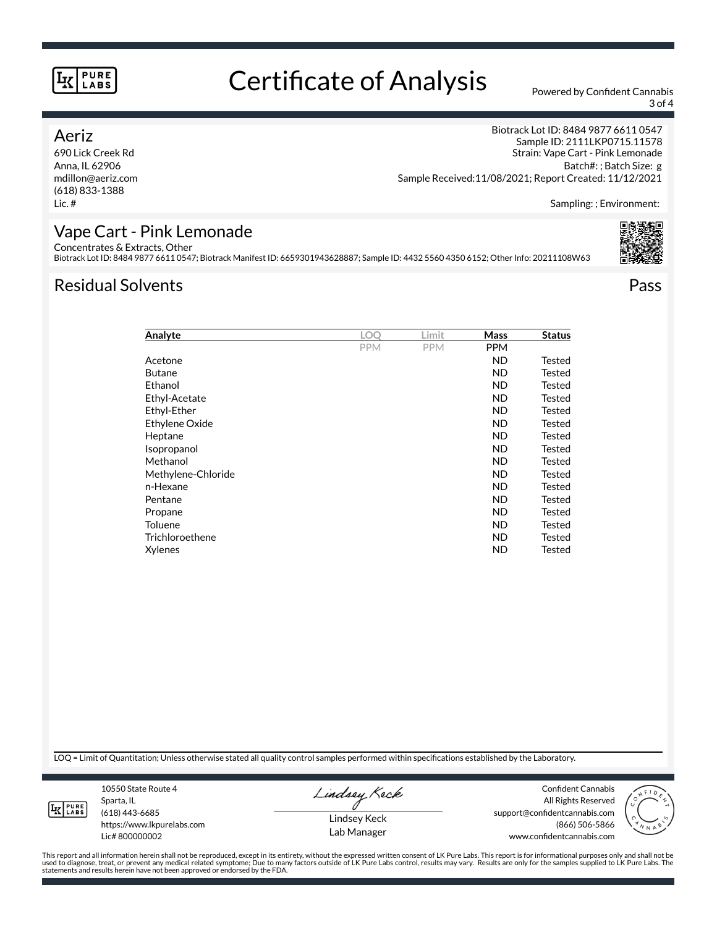## Certificate of Analysis Powered by Confident Cannabis

3 of 4

### Aeriz

690 Lick Creek Rd Anna, IL 62906 mdillon@aeriz.com (618) 833-1388 Lic. #

Biotrack Lot ID: 8484 9877 6611 0547 Sample ID: 2111LKP0715.11578 Strain: Vape Cart - Pink Lemonade Batch#: ; Batch Size: g Sample Received:11/08/2021; Report Created: 11/12/2021

Sampling: ; Environment:

### Vape Cart - Pink Lemonade

Concentrates & Extracts, Other

Biotrack Lot ID: 8484 9877 6611 0547; Biotrack Manifest ID: 6659301943628887; Sample ID: 4432 5560 4350 6152; Other Info: 20211108W63

## Residual Solvents Pass

| Analyte            | LOO        | Limit      | Mass       | <b>Status</b> |
|--------------------|------------|------------|------------|---------------|
|                    | <b>PPM</b> | <b>PPM</b> | <b>PPM</b> |               |
| Acetone            |            |            | <b>ND</b>  | Tested        |
| <b>Butane</b>      |            |            | <b>ND</b>  | Tested        |
| Ethanol            |            |            | <b>ND</b>  | Tested        |
| Ethyl-Acetate      |            |            | ND.        | Tested        |
| Ethyl-Ether        |            |            | <b>ND</b>  | Tested        |
| Ethylene Oxide     |            |            | ND.        | Tested        |
| Heptane            |            |            | ND.        | Tested        |
| Isopropanol        |            |            | <b>ND</b>  | Tested        |
| Methanol           |            |            | ND.        | Tested        |
| Methylene-Chloride |            |            | <b>ND</b>  | Tested        |
| n-Hexane           |            |            | <b>ND</b>  | Tested        |
| Pentane            |            |            | ND.        | Tested        |
| Propane            |            |            | <b>ND</b>  | Tested        |
| Toluene            |            |            | ND.        | Tested        |
| Trichloroethene    |            |            | ND.        | Tested        |
| Xylenes            |            |            | <b>ND</b>  | Tested        |

LOQ = Limit of Quantitation; Unless otherwise stated all quality control samples performed within specifications established by the Laboratory.

**LK** LABS

Sparta, IL (618) 443-6685 https://www.lkpurelabs.com Lic# 800000002

10550 State Route 4

Lindsey Keck

Lindsey Keck Lab Manager

Confident Cannabis All Rights Reserved support@confidentcannabis.com (866) 506-5866 www.confidentcannabis.com



This report and all information herein shall not be reproduced, except in its entirety, without the expressed written consent of LK Pure Labs. This report is for informational purposes only and shall not be<br>used to diagnos